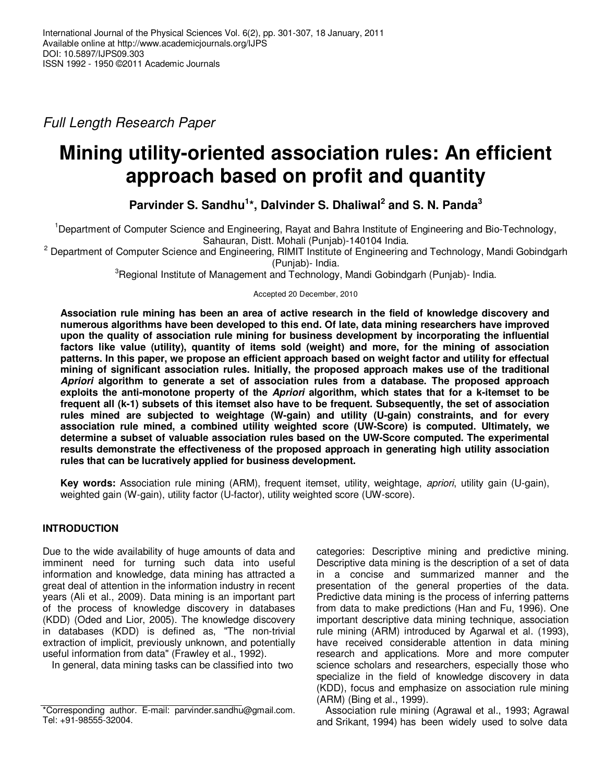Full Length Research Paper

# **Mining utility-oriented association rules: An efficient approach based on profit and quantity**

**Parvinder S. Sandhu<sup>1</sup> \*, Dalvinder S. Dhaliwal<sup>2</sup> and S. N. Panda<sup>3</sup>**

<sup>1</sup>Department of Computer Science and Engineering, Rayat and Bahra Institute of Engineering and Bio-Technology, Sahauran, Distt. Mohali (Punjab)-140104 India.

2 Department of Computer Science and Engineering, RIMIT Institute of Engineering and Technology, Mandi Gobindgarh (Punjab)- India.

<sup>3</sup>Regional Institute of Management and Technology, Mandi Gobindgarh (Punjab)- India.

Accepted 20 December, 2010

**Association rule mining has been an area of active research in the field of knowledge discovery and numerous algorithms have been developed to this end. Of late, data mining researchers have improved upon the quality of association rule mining for business development by incorporating the influential factors like value (utility), quantity of items sold (weight) and more, for the mining of association patterns. In this paper, we propose an efficient approach based on weight factor and utility for effectual mining of significant association rules. Initially, the proposed approach makes use of the traditional Apriori algorithm to generate a set of association rules from a database. The proposed approach exploits the anti-monotone property of the Apriori algorithm, which states that for a k-itemset to be frequent all (k-1) subsets of this itemset also have to be frequent. Subsequently, the set of association rules mined are subjected to weightage (W-gain) and utility (U-gain) constraints, and for every association rule mined, a combined utility weighted score (UW-Score) is computed. Ultimately, we determine a subset of valuable association rules based on the UW-Score computed. The experimental results demonstrate the effectiveness of the proposed approach in generating high utility association rules that can be lucratively applied for business development.** 

**Key words:** Association rule mining (ARM), frequent itemset, utility, weightage, apriori, utility gain (U-gain), weighted gain (W-gain), utility factor (U-factor), utility weighted score (UW-score).

# **INTRODUCTION**

Due to the wide availability of huge amounts of data and imminent need for turning such data into useful information and knowledge, data mining has attracted a great deal of attention in the information industry in recent years (Ali et al., 2009). Data mining is an important part of the process of knowledge discovery in databases (KDD) (Oded and Lior, 2005). The knowledge discovery in databases (KDD) is defined as, "The non-trivial extraction of implicit, previously unknown, and potentially useful information from data" (Frawley et al., 1992).

In general, data mining tasks can be classified into two

categories: Descriptive mining and predictive mining. Descriptive data mining is the description of a set of data in a concise and summarized manner and the presentation of the general properties of the data. Predictive data mining is the process of inferring patterns from data to make predictions (Han and Fu, 1996). One important descriptive data mining technique, association rule mining (ARM) introduced by Agarwal et al. (1993), have received considerable attention in data mining research and applications. More and more computer science scholars and researchers, especially those who specialize in the field of knowledge discovery in data (KDD), focus and emphasize on association rule mining (ARM) (Bing et al., 1999).

Association rule mining (Agrawal et al., 1993; Agrawal and Srikant, 1994) has been widely used to solve data

<sup>\*</sup>Corresponding author. E-mail: parvinder.sandhu@gmail.com. Tel: +91-98555-32004.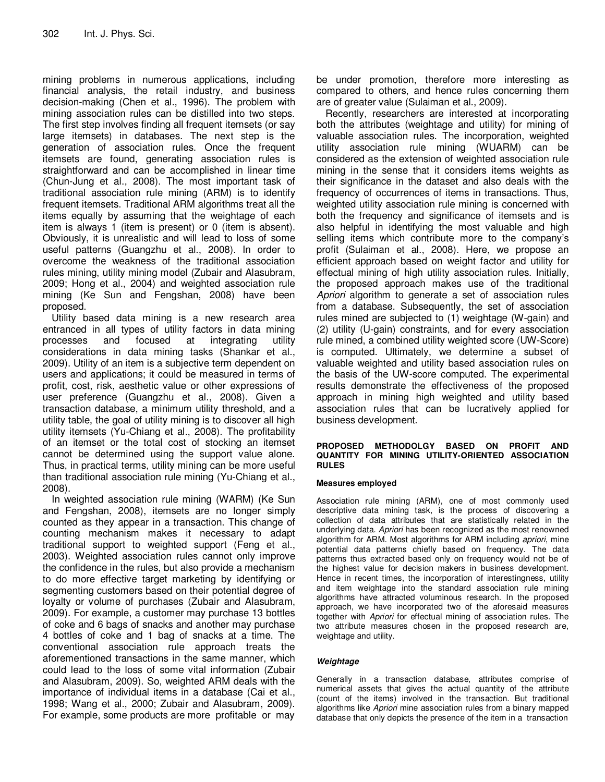mining problems in numerous applications, including financial analysis, the retail industry, and business decision-making (Chen et al., 1996). The problem with mining association rules can be distilled into two steps. The first step involves finding all frequent itemsets (or say large itemsets) in databases. The next step is the generation of association rules. Once the frequent itemsets are found, generating association rules is straightforward and can be accomplished in linear time (Chun-Jung et al., 2008). The most important task of traditional association rule mining (ARM) is to identify frequent itemsets. Traditional ARM algorithms treat all the items equally by assuming that the weightage of each item is always 1 (item is present) or 0 (item is absent). Obviously, it is unrealistic and will lead to loss of some useful patterns (Guangzhu et al., 2008). In order to overcome the weakness of the traditional association rules mining, utility mining model (Zubair and Alasubram, 2009; Hong et al., 2004) and weighted association rule mining (Ke Sun and Fengshan, 2008) have been proposed.

Utility based data mining is a new research area entranced in all types of utility factors in data mining processes and focused at integrating utility considerations in data mining tasks (Shankar et al., 2009). Utility of an item is a subjective term dependent on users and applications; it could be measured in terms of profit, cost, risk, aesthetic value or other expressions of user preference (Guangzhu et al., 2008). Given a transaction database, a minimum utility threshold, and a utility table, the goal of utility mining is to discover all high utility itemsets (Yu-Chiang et al., 2008). The profitability of an itemset or the total cost of stocking an itemset cannot be determined using the support value alone. Thus, in practical terms, utility mining can be more useful than traditional association rule mining (Yu-Chiang et al., 2008).

In weighted association rule mining (WARM) (Ke Sun and Fengshan, 2008), itemsets are no longer simply counted as they appear in a transaction. This change of counting mechanism makes it necessary to adapt traditional support to weighted support (Feng et al., 2003). Weighted association rules cannot only improve the confidence in the rules, but also provide a mechanism to do more effective target marketing by identifying or segmenting customers based on their potential degree of loyalty or volume of purchases (Zubair and Alasubram, 2009). For example, a customer may purchase 13 bottles of coke and 6 bags of snacks and another may purchase 4 bottles of coke and 1 bag of snacks at a time. The conventional association rule approach treats the aforementioned transactions in the same manner, which could lead to the loss of some vital information (Zubair and Alasubram, 2009). So, weighted ARM deals with the importance of individual items in a database (Cai et al., 1998; Wang et al., 2000; Zubair and Alasubram, 2009). For example, some products are more profitable or may be under promotion, therefore more interesting as compared to others, and hence rules concerning them are of greater value (Sulaiman et al., 2009).

Recently, researchers are interested at incorporating both the attributes (weightage and utility) for mining of valuable association rules. The incorporation, weighted utility association rule mining (WUARM) can be considered as the extension of weighted association rule mining in the sense that it considers items weights as their significance in the dataset and also deals with the frequency of occurrences of items in transactions. Thus, weighted utility association rule mining is concerned with both the frequency and significance of itemsets and is also helpful in identifying the most valuable and high selling items which contribute more to the company's profit (Sulaiman et al., 2008). Here, we propose an efficient approach based on weight factor and utility for effectual mining of high utility association rules. Initially, the proposed approach makes use of the traditional Apriori algorithm to generate a set of association rules from a database. Subsequently, the set of association rules mined are subjected to (1) weightage (W-gain) and (2) utility (U-gain) constraints, and for every association rule mined, a combined utility weighted score (UW-Score) is computed. Ultimately, we determine a subset of valuable weighted and utility based association rules on the basis of the UW-score computed. The experimental results demonstrate the effectiveness of the proposed approach in mining high weighted and utility based association rules that can be lucratively applied for business development.

# **PROPOSED METHODOLGY BASED ON PROFIT AND QUANTITY FOR MINING UTILITY-ORIENTED ASSOCIATION RULES**

# **Measures employed**

Association rule mining (ARM), one of most commonly used descriptive data mining task, is the process of discovering a collection of data attributes that are statistically related in the underlying data. Apriori has been recognized as the most renowned algorithm for ARM. Most algorithms for ARM including *apriori*, mine potential data patterns chiefly based on frequency. The data patterns thus extracted based only on frequency would not be of the highest value for decision makers in business development. Hence in recent times, the incorporation of interestingness, utility and item weightage into the standard association rule mining algorithms have attracted voluminous research. In the proposed approach, we have incorporated two of the aforesaid measures together with Apriori for effectual mining of association rules. The two attribute measures chosen in the proposed research are, weightage and utility.

# **Weightage**

Generally in a transaction database, attributes comprise of numerical assets that gives the actual quantity of the attribute (count of the items) involved in the transaction. But traditional algorithms like Apriori mine association rules from a binary mapped database that only depicts the presence of the item in a transaction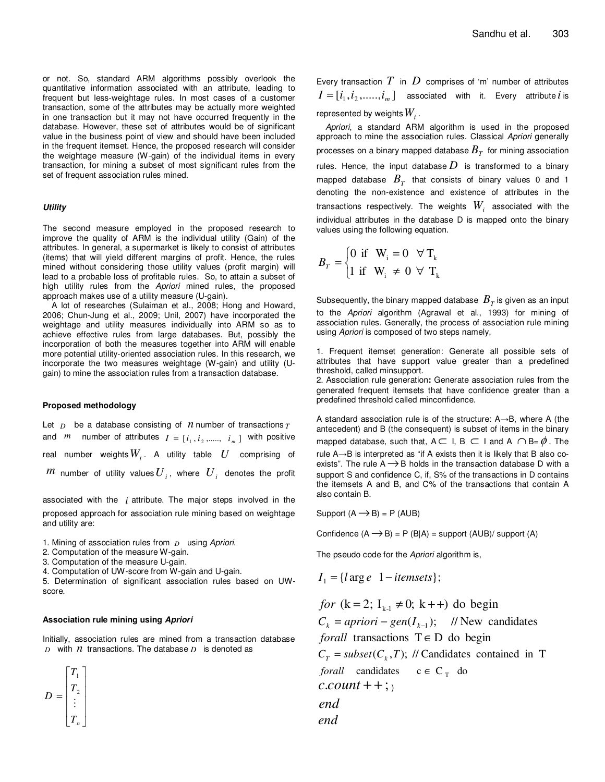or not. So, standard ARM algorithms possibly overlook the quantitative information associated with an attribute, leading to frequent but less-weightage rules. In most cases of a customer transaction, some of the attributes may be actually more weighted in one transaction but it may not have occurred frequently in the database. However, these set of attributes would be of significant value in the business point of view and should have been included in the frequent itemset. Hence, the proposed research will consider the weightage measure (W-gain) of the individual items in every transaction, for mining a subset of most significant rules from the set of frequent association rules mined.

#### **Utility**

The second measure employed in the proposed research to improve the quality of ARM is the individual utility (Gain) of the attributes. In general, a supermarket is likely to consist of attributes (items) that will yield different margins of profit. Hence, the rules mined without considering those utility values (profit margin) will lead to a probable loss of profitable rules. So, to attain a subset of high utility rules from the Apriori mined rules, the proposed approach makes use of a utility measure (U-gain).

A lot of researches (Sulaiman et al., 2008; Hong and Howard, 2006; Chun-Jung et al., 2009; Unil, 2007) have incorporated the weightage and utility measures individually into ARM so as to achieve effective rules from large databases. But, possibly the incorporation of both the measures together into ARM will enable more potential utility-oriented association rules. In this research, we incorporate the two measures weightage (W-gain) and utility (Ugain) to mine the association rules from a transaction database.

#### **Proposed methodology**

Let  $D$  be a database consisting of  $n$  number of transactions  $T$ and *m* number of attributes  $I = [i_1, i_2, \dots, i_m]$  with positive real number weights $W^-_i$ . A utility table  $\,U\,$  comprising of  $m$  number of utility values $\overline{U}_i$ , where  $\overline{U}_i$  denotes the profit

associated with the *i* attribute. The major steps involved in the proposed approach for association rule mining based on weightage and utility are:

- 1. Mining of association rules from *D* using Apriori.
- 2. Computation of the measure W-gain.
- 3. Computation of the measure U-gain.
- 4. Computation of UW-score from W-gain and U-gain.

5. Determination of significant association rules based on UWscore.

#### **Association rule mining using Apriori**

Initially, association rules are mined from a transaction database *D* with *n* transactions. The database *D* is denoted as



Every transaction  $T$  in  $D$  comprises of 'm' number of attributes  $I = [i_1, i_2, \ldots, i_m]$  associated with it. Every attribute *i* is represented by weights  $W_{\overline{i}}$  .

Apriori, a standard ARM algorithm is used in the proposed approach to mine the association rules. Classical Apriori generally processes on a binary mapped database  $B_{\scriptsize T}^{\scriptscriptstyle -}$  for mining association rules. Hence, the input database  $D$  is transformed to a binary mapped database  $\,B_{T}\,$  that consists of binary values 0 and 1 denoting the non-existence and existence of attributes in the transactions respectively. The weights *W<sup>i</sup>* associated with the individual attributes in the database D is mapped onto the binary values using the following equation.

$$
B_T = \begin{cases} 0 & \text{if} \quad \mathbf{W}_i = 0 \quad \forall \, \mathbf{T}_k \\ 1 & \text{if} \quad \mathbf{W}_i \neq 0 \quad \forall \, \mathbf{T}_k \end{cases}
$$

Subsequently, the binary mapped database  $\,B_{_T}$  is given as an input to the Apriori algorithm (Agrawal et al., 1993) for mining of association rules. Generally, the process of association rule mining using Apriori is composed of two steps namely,

1. Frequent itemset generation: Generate all possible sets of attributes that have support value greater than a predefined threshold, called minsupport.

2. Association rule generation**:** Generate association rules from the generated frequent itemsets that have confidence greater than a predefined threshold called minconfidence.

A standard association rule is of the structure: A→B, where A (the antecedent) and B (the consequent) is subset of items in the binary mapped database, such that,  $A \subset I$ ,  $B \subset I$  and  $A \cap B = \emptyset$ . The rule A→B is interpreted as "if A exists then it is likely that B also coexists". The rule  $A \rightarrow B$  holds in the transaction database D with a support S and confidence C, if, S% of the transactions in D contains the itemsets A and B, and C% of the transactions that contain A also contain B.

Support  $(A \rightarrow B) = P$  (AUB)

Confidence  $(A \rightarrow B) = P(B|A) = support (AUB)/ support (A)$ 

The pseudo code for the Apriori algorithm is,

$$
I_1 = \{l \arg e \ \ 1 - itemsets\};
$$

*for* ( $k = 2$ ;  $I_{k-1} \neq 0$ ;  $k + 1$ ) do begin  $C_k = a priori - gen(I_{k-1});$  // New candidates *forall* transactions  $T \in D$  do begin  $C_T = \text{subset}(C_k, T)$ ; // Candidates contained in T  $for all$  candidates  $c \in C_T$  do  $c$ *ccount* + + ;  $\cdot$ *end end*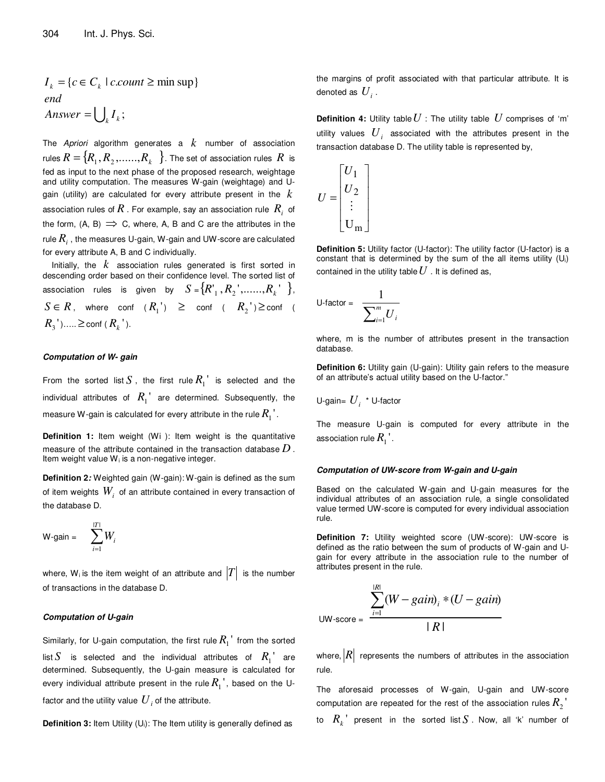$$
I_k = \{ c \in C_k \mid c.count \ge \min \sup \}
$$
  
end  
Answer =  $\bigcup_k I_k$ ;

The Apriori algorithm generates a *k* number of association rules  $R = \{R_{_1}, R_{_2},.....,R_{_k}\:|\: \}$ . The set of association rules  $\:R\:$  is fed as input to the next phase of the proposed research, weightage and utility computation. The measures W-gain (weightage) and Ugain (utility) are calculated for every attribute present in the *k* association rules of  $R$  . For example, say an association rule  $\,R_{_i}\,$  of the form,  $(A, B) \implies C$ , where, A, B and C are the attributes in the rule  $R_{_{l}}^{\phantom{\dag}}$  , the measures U-gain, W-gain and UW-score are calculated for every attribute A, B and C individually.

Initially, the *k* association rules generated is first sorted in descending order based on their confidence level. The sorted list of association rules is given by  $S = \{R'_{1}, R_{2}^{+}, \ldots, R_{k}^{+}\}\,$  $S \in R$ , where conf  $(R_1')$   $\geq$  conf  $(R_2') \geq$ conf (  $R_3$ ')..... $\geq$  conf ( $R_k$ ').

#### **Computation of W- gain**

From the sorted list  $S$ , the first rule  $R_1$ <sup>'</sup> is selected and the individual attributes of  $R_1^{\phantom{1} \prime}$  are determined. Subsequently, the measure W-gain is calculated for every attribute in the rule  $R_{\rm 1}$   $^{\prime}$  .

**Definition 1:** Item weight (Wi ): Item weight is the quantitative measure of the attribute contained in the transaction database *D* . Item weight value  $W_i$  is a non-negative integer.

**Definition 2:** Weighted gain (W-gain): W-gain is defined as the sum of item weights  $\boldsymbol{W}_i$  of an attribute contained in every transaction of the database D.

$$
W\text{-gain} = \sum_{i=1}^{|T|} W_i
$$

where, W<sub>i</sub> is the item weight of an attribute and  $|T|$  is the number of transactions in the database D.

#### **Computation of U-gain**

Similarly, for U-gain computation, the first rule  $R_{\rm l}^{\phantom{\rm l}}$  from the sorted list *S* is selected and the individual attributes of  $R_1^+$  are determined. Subsequently, the U-gain measure is calculated for every individual attribute present in the rule  $R_{1}^{\phantom{\dag}}$  , based on the Ufactor and the utility value  $\overline{U}_i$  of the attribute.

**Definition 3:** Item Utility (U<sub>i</sub>): The Item utility is generally defined as

the margins of profit associated with that particular attribute. It is denoted as  $\left. U_{_{i}}\right.$  .

**Definition 4:** Utility table  $U$  : The utility table  $U$  comprises of 'm' utility values  $\left. U_{\,i}\right\vert$  associated with the attributes present in the transaction database D. The utility table is represented by,

$$
U = \begin{bmatrix} U_1 \\ U_2 \\ \vdots \\ U_m \end{bmatrix}
$$

**Definition 5:** Utility factor (U-factor): The utility factor (U-factor) is a constant that is determined by the sum of the all items utility (Ui) contained in the utility table  $U$  . It is defined as,

$$
U\text{-factor} = \frac{1}{\sum_{i=1}^{m} U_i}
$$

where, m is the number of attributes present in the transaction database.

**Definition 6:** Utility gain (U-gain): Utility gain refers to the measure of an attribute's actual utility based on the U-factor."

$$
\text{U-gain} = U_i \cdot \text{U-factor}
$$

The measure U-gain is computed for every attribute in the association rule  $R_{\rm 1}^{\rm +}$  .

#### **Computation of UW-score from W-gain and U-gain**

Based on the calculated W-gain and U-gain measures for the individual attributes of an association rule, a single consolidated value termed UW-score is computed for every individual association rule.

**Definition 7:** Utility weighted score (UW-score): UW-score is defined as the ratio between the sum of products of W-gain and Ugain for every attribute in the association rule to the number of attributes present in the rule.

$$
UW\text{-score} = \frac{\sum_{i=1}^{|R|} (W - gain)_i * (U - gain)}{|R|}
$$

where,  $|R|$  represents the numbers of attributes in the association rule.

The aforesaid processes of W-gain, U-gain and UW-score computation are repeated for the rest of the association rules  $R_{2}^{-1}$ 

to  $\, R_{_k}^{\phantom k}$  present in the sorted list $S$  . Now, all 'k' number of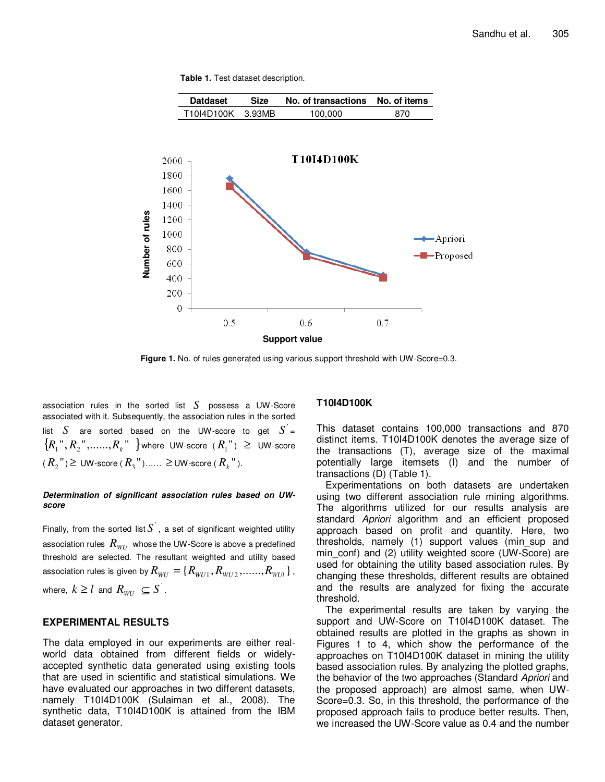

**Table 1.** Test dataset description.

Figure 1. No. of rules generated using various support threshold with UW-Score=0.3.

association rules in the sorted list *S* possess a UW-Score associated with it. Subsequently, the association rules in the sorted list  $S$  are sorted based on the UW-score to get  $S^{'}=$  ${R_1}^n, R_2$ ",......, $R_k$ " }where UW-score ( $R_1$ ") ≥ UW-score  $(R_2^{\ \ \, \prime\prime}) \geq$  UW-score ( $R_3^{\ \ \, \prime\prime}$ ).......  $\geq$  UW-score ( $R_k^{\ \ \, \prime\prime}$ ).

## **Determination of significant association rules based on UWscore**

Finally, from the sorted list  $S^{'}$ , a set of significant weighted utility association rules  $R_{\tiny{WU}}$  whose the UW-Score is above a predefined threshold are selected. The resultant weighted and utility based association rules is given by  $R_{WU} = \{R_{WU1}, R_{WU2}, \ldots, R_{WUl}\}$ where,  $k \geq l$  and  $R_{_{WU}} \subseteq S^{\dagger}$ .

# **EXPERIMENTAL RESULTS**

The data employed in our experiments are either realworld data obtained from different fields or widelyaccepted synthetic data generated using existing tools that are used in scientific and statistical simulations. We have evaluated our approaches in two different datasets, namely T10I4D100K (Sulaiman et al., 2008). The synthetic data, T10I4D100K is attained from the IBM dataset generator.

## **T10I4D100K**

This dataset contains 100,000 transactions and 870 distinct items. T10I4D100K denotes the average size of the transactions (T), average size of the maximal potentially large itemsets (I) and the number of transactions (D) (Table 1).

Experimentations on both datasets are undertaken using two different association rule mining algorithms. The algorithms utilized for our results analysis are standard Apriori algorithm and an efficient proposed approach based on profit and quantity. Here, two thresholds, namely (1) support values (min\_sup and min\_conf) and (2) utility weighted score (UW-Score) are used for obtaining the utility based association rules. By changing these thresholds, different results are obtained and the results are analyzed for fixing the accurate threshold.

The experimental results are taken by varying the support and UW-Score on T10I4D100K dataset. The obtained results are plotted in the graphs as shown in Figures 1 to 4, which show the performance of the approaches on T10I4D100K dataset in mining the utility based association rules. By analyzing the plotted graphs, the behavior of the two approaches (Standard Apriori and the proposed approach) are almost same, when UW-Score=0.3. So, in this threshold, the performance of the proposed approach fails to produce better results. Then, we increased the UW-Score value as 0.4 and the number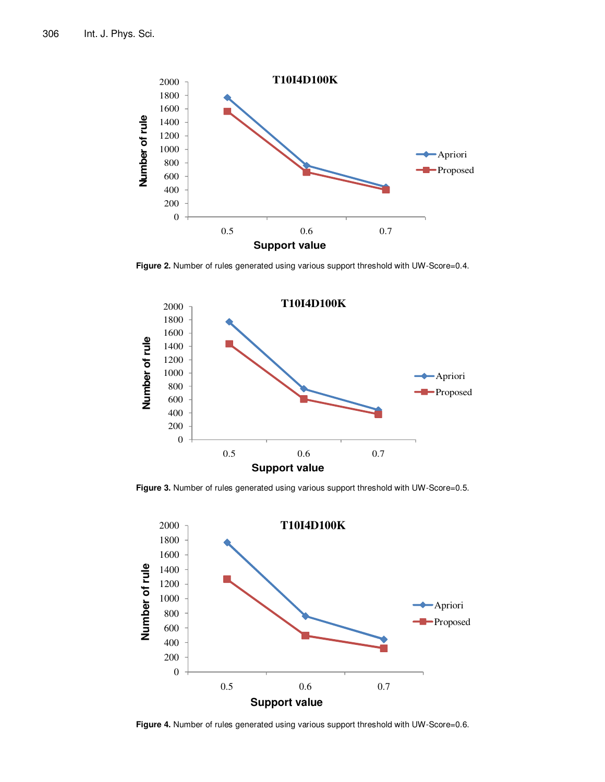

**Figure 2.** Number of rules generated using various support threshold with UW-Score=0.4.



Figure 3. Number of rules generated using various support threshold with UW-Score=0.5.



**Figure 4.** Number of rules generated using various support threshold with UW-Score=0.6.